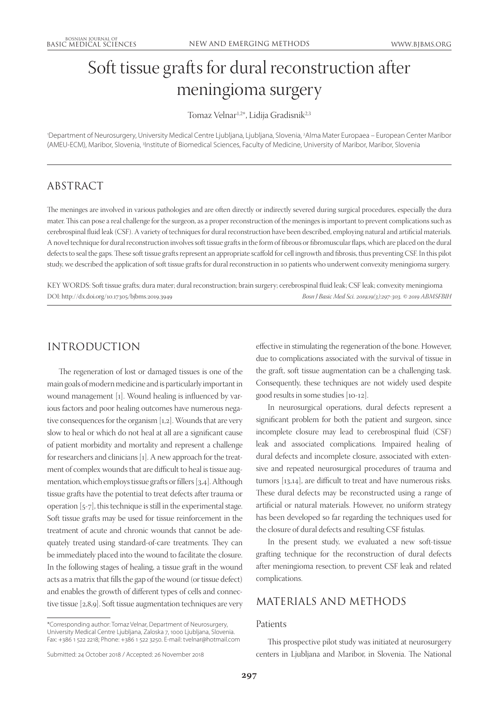# Soft tissue grafts for dural reconstruction after meningioma surgery

Tomaz Velnar<sup>1,2\*</sup>, Lidija Gradisnik<sup>2,3</sup>

1 Department of Neurosurgery, University Medical Centre Ljubljana, Ljubljana, Slovenia, 2 Alma Mater Europaea – European Center Maribor (AMEU-ECM), Maribor, Slovenia, <sup>3</sup>Institute of Biomedical Sciences, Faculty of Medicine, University of Maribor, Maribor, Slovenia

## ABSTRACT

The meninges are involved in various pathologies and are often directly or indirectly severed during surgical procedures, especially the dura mater. This can pose a real challenge for the surgeon, as a proper reconstruction of the meninges is important to prevent complications such as cerebrospinal fluid leak (CSF). A variety of techniques for dural reconstruction have been described, employing natural and artificial materials. A novel technique for dural reconstruction involves soft tissue grafts in the form of fibrous or fibromuscular flaps, which are placed on the dural defects to seal the gaps. These soft tissue grafts represent an appropriate scaffold for cell ingrowth and fibrosis, thus preventing CSF. In this pilot study, we described the application of soft tissue grafts for dural reconstruction in 10 patients who underwent convexity meningioma surgery.

KEY WORDS: Soft tissue grafts; dura mater; dural reconstruction; brain surgery; cerebrospinal fluid leak; CSF leak; convexity meningioma DOI: http://dx.doi.org/10.17305/bjbms.2019.3949 *Bosn J Basic Med Sci. 2019;19(3):297-303. © 2019 ABMSFBIH*

# INTRODUCTION

The regeneration of lost or damaged tissues is one of the main goals of modern medicine and is particularly important in wound management [1]. Wound healing is influenced by various factors and poor healing outcomes have numerous negative consequences for the organism [1,2]. Wounds that are very slow to heal or which do not heal at all are a significant cause of patient morbidity and mortality and represent a challenge for researchers and clinicians [1]. A new approach for the treatment of complex wounds that are difficult to heal is tissue augmentation, which employs tissue grafts or fillers [3,4]. Although tissue grafts have the potential to treat defects after trauma or operation [5-7], this technique is still in the experimental stage. Soft tissue grafts may be used for tissue reinforcement in the treatment of acute and chronic wounds that cannot be adequately treated using standard-of-care treatments. They can be immediately placed into the wound to facilitate the closure. In the following stages of healing, a tissue graft in the wound acts as a matrix that fills the gap of the wound (or tissue defect) and enables the growth of different types of cells and connective tissue [2,8,9]. Soft tissue augmentation techniques are very

\*Corresponding author: Tomaz Velnar, Department of Neurosurgery, University Medical Centre Ljubljana, Zaloska 7, 1000 Ljubljana, Slovenia. Fax: +386 1 522 2218; Phone: +386 1 522 3250. E-mail: tvelnar@hotmail.com effective in stimulating the regeneration of the bone. However, due to complications associated with the survival of tissue in the graft, soft tissue augmentation can be a challenging task. Consequently, these techniques are not widely used despite good results in some studies [10-12].

In neurosurgical operations, dural defects represent a significant problem for both the patient and surgeon, since incomplete closure may lead to cerebrospinal fluid (CSF) leak and associated complications. Impaired healing of dural defects and incomplete closure, associated with extensive and repeated neurosurgical procedures of trauma and tumors [13,14], are difficult to treat and have numerous risks. These dural defects may be reconstructed using a range of artificial or natural materials. However, no uniform strategy has been developed so far regarding the techniques used for the closure of dural defects and resulting CSF fistulas.

In the present study, we evaluated a new soft-tissue grafting technique for the reconstruction of dural defects after meningioma resection, to prevent CSF leak and related complications.

## MATERIALS AND METHODS

#### Patients

Submitted: 24 October 2018 / Accepted: 26 November 2018

This prospective pilot study was initiated at neurosurgery centers in Ljubljana and Maribor, in Slovenia. The National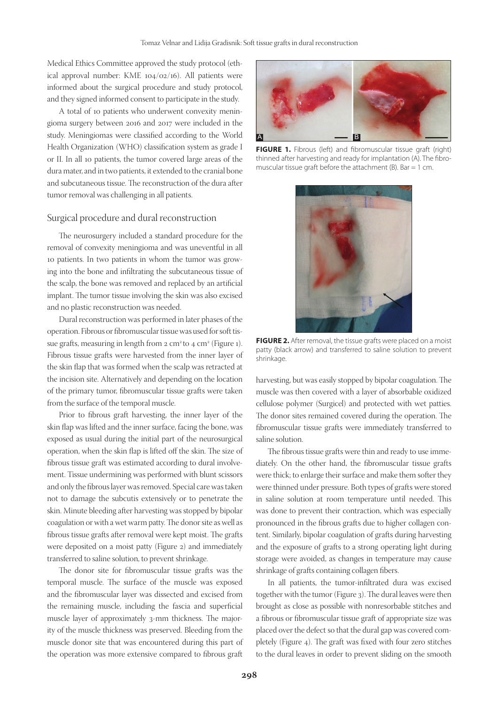Medical Ethics Committee approved the study protocol (ethical approval number: KME 104/02/16). All patients were informed about the surgical procedure and study protocol, and they signed informed consent to participate in the study.

A total of 10 patients who underwent convexity meningioma surgery between 2016 and 2017 were included in the study. Meningiomas were classified according to the World Health Organization (WHO) classification system as grade I or II. In all 10 patients, the tumor covered large areas of the dura mater, and in two patients, it extended to the cranial bone and subcutaneous tissue. The reconstruction of the dura after tumor removal was challenging in all patients.

#### Surgical procedure and dural reconstruction

The neurosurgery included a standard procedure for the removal of convexity meningioma and was uneventful in all 10 patients. In two patients in whom the tumor was growing into the bone and infiltrating the subcutaneous tissue of the scalp, the bone was removed and replaced by an artificial implant. The tumor tissue involving the skin was also excised and no plastic reconstruction was needed.

Dural reconstruction was performed in later phases of the operation. Fibrous or fibromuscular tissue was used for soft tissue grafts, measuring in length from  $2 \text{ cm}^2$  to  $4 \text{ cm}^2$  (Figure 1). Fibrous tissue grafts were harvested from the inner layer of the skin flap that was formed when the scalp was retracted at the incision site. Alternatively and depending on the location of the primary tumor, fibromuscular tissue grafts were taken from the surface of the temporal muscle.

Prior to fibrous graft harvesting, the inner layer of the skin flap was lifted and the inner surface, facing the bone, was exposed as usual during the initial part of the neurosurgical operation, when the skin flap is lifted off the skin. The size of fibrous tissue graft was estimated according to dural involvement. Tissue undermining was performed with blunt scissors and only the fibrous layer was removed. Special care was taken not to damage the subcutis extensively or to penetrate the skin. Minute bleeding after harvesting was stopped by bipolar coagulation or with a wet warm patty. The donor site as well as fibrous tissue grafts after removal were kept moist. The grafts were deposited on a moist patty (Figure 2) and immediately transferred to saline solution, to prevent shrinkage.

The donor site for fibromuscular tissue grafts was the temporal muscle. The surface of the muscle was exposed and the fibromuscular layer was dissected and excised from the remaining muscle, including the fascia and superficial muscle layer of approximately 3-mm thickness. The majority of the muscle thickness was preserved. Bleeding from the muscle donor site that was encountered during this part of the operation was more extensive compared to fibrous graft



**FIGURE 1.** Fibrous (left) and fibromuscular tissue graft (right) thinned after harvesting and ready for implantation (A). The fibromuscular tissue graft before the attachment (B). Bar = 1 cm.



**FIGURE 2.** After removal, the tissue grafts were placed on a moist patty (black arrow) and transferred to saline solution to prevent shrinkage.

harvesting, but was easily stopped by bipolar coagulation. The muscle was then covered with a layer of absorbable oxidized cellulose polymer (Surgicel) and protected with wet patties. The donor sites remained covered during the operation. The fibromuscular tissue grafts were immediately transferred to saline solution.

The fibrous tissue grafts were thin and ready to use immediately. On the other hand, the fibromuscular tissue grafts were thick; to enlarge their surface and make them softer they were thinned under pressure. Both types of grafts were stored in saline solution at room temperature until needed. This was done to prevent their contraction, which was especially pronounced in the fibrous grafts due to higher collagen content. Similarly, bipolar coagulation of grafts during harvesting and the exposure of grafts to a strong operating light during storage were avoided, as changes in temperature may cause shrinkage of grafts containing collagen fibers.

In all patients, the tumor-infiltrated dura was excised together with the tumor (Figure 3). The dural leaves were then brought as close as possible with nonresorbable stitches and a fibrous or fibromuscular tissue graft of appropriate size was placed over the defect so that the dural gap was covered completely (Figure 4). The graft was fixed with four zero stitches to the dural leaves in order to prevent sliding on the smooth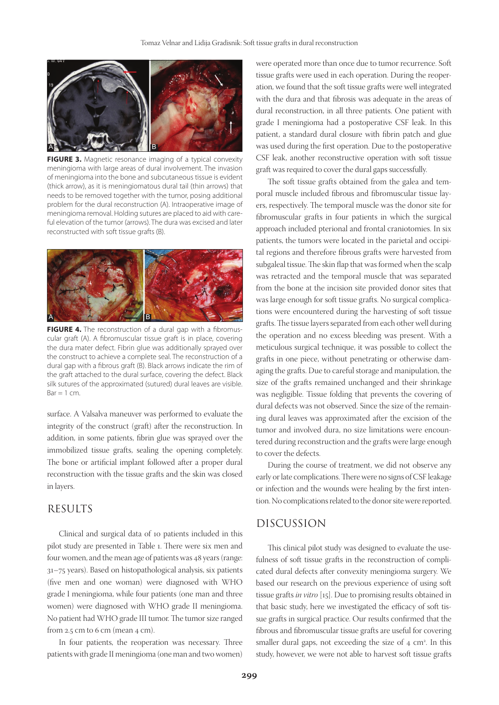

**FIGURE 3.** Magnetic resonance imaging of a typical convexity meningioma with large areas of dural involvement. The invasion of meningioma into the bone and subcutaneous tissue is evident (thick arrow), as it is meningiomatous dural tail (thin arrows) that needs to be removed together with the tumor, posing additional problem for the dural reconstruction (A). Intraoperative image of meningioma removal. Holding sutures are placed to aid with careful elevation of the tumor (arrows). The dura was excised and later reconstructed with soft tissue grafts (B).



FIGURE 4. The reconstruction of a dural gap with a fibromuscular graft (A). A fibromuscular tissue graft is in place, covering the dura mater defect. Fibrin glue was additionally sprayed over the construct to achieve a complete seal. The reconstruction of a dural gap with a fibrous graft (B). Black arrows indicate the rim of the graft attached to the dural surface, covering the defect. Black silk sutures of the approximated (sutured) dural leaves are visible.  $Bar = 1$  cm.

surface. A Valsalva maneuver was performed to evaluate the integrity of the construct (graft) after the reconstruction. In addition, in some patients, fibrin glue was sprayed over the immobilized tissue grafts, sealing the opening completely. The bone or artificial implant followed after a proper dural reconstruction with the tissue grafts and the skin was closed in layers.

### RESULTS

Clinical and surgical data of 10 patients included in this pilot study are presented in Table 1. There were six men and four women, and the mean age of patients was 48 years (range: 31–75 years). Based on histopathological analysis, six patients (five men and one woman) were diagnosed with WHO grade I meningioma, while four patients (one man and three women) were diagnosed with WHO grade II meningioma. No patient had WHO grade III tumor. The tumor size ranged from 2.5 cm to 6 cm (mean 4 cm).

In four patients, the reoperation was necessary. Three patients with grade II meningioma (one man and two women) were operated more than once due to tumor recurrence. Soft tissue grafts were used in each operation. During the reoperation, we found that the soft tissue grafts were well integrated with the dura and that fibrosis was adequate in the areas of dural reconstruction, in all three patients. One patient with grade I meningioma had a postoperative CSF leak. In this patient, a standard dural closure with fibrin patch and glue was used during the first operation. Due to the postoperative CSF leak, another reconstructive operation with soft tissue graft was required to cover the dural gaps successfully.

The soft tissue grafts obtained from the galea and temporal muscle included fibrous and fibromuscular tissue layers, respectively. The temporal muscle was the donor site for fibromuscular grafts in four patients in which the surgical approach included pterional and frontal craniotomies. In six patients, the tumors were located in the parietal and occipital regions and therefore fibrous grafts were harvested from subgaleal tissue. The skin flap that was formed when the scalp was retracted and the temporal muscle that was separated from the bone at the incision site provided donor sites that was large enough for soft tissue grafts. No surgical complications were encountered during the harvesting of soft tissue grafts. The tissue layers separated from each other well during the operation and no excess bleeding was present. With a meticulous surgical technique, it was possible to collect the grafts in one piece, without penetrating or otherwise damaging the grafts. Due to careful storage and manipulation, the size of the grafts remained unchanged and their shrinkage was negligible. Tissue folding that prevents the covering of dural defects was not observed. Since the size of the remaining dural leaves was approximated after the excision of the tumor and involved dura, no size limitations were encountered during reconstruction and the grafts were large enough to cover the defects.

During the course of treatment, we did not observe any early or late complications. There were no signs of CSF leakage or infection and the wounds were healing by the first intention. No complications related to the donor site were reported.

## DISCUSSION

This clinical pilot study was designed to evaluate the usefulness of soft tissue grafts in the reconstruction of complicated dural defects after convexity meningioma surgery. We based our research on the previous experience of using soft tissue grafts *in vitro* [15]. Due to promising results obtained in that basic study, here we investigated the efficacy of soft tissue grafts in surgical practice. Our results confirmed that the fibrous and fibromuscular tissue grafts are useful for covering smaller dural gaps, not exceeding the size of 4 cm<sup>2</sup>. In this study, however, we were not able to harvest soft tissue grafts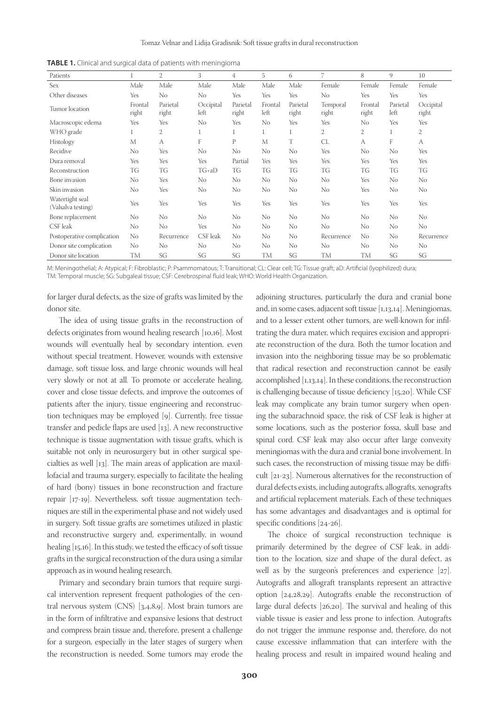| Patients                              |                  | 2                 | 3                 | 4                 | 5               | 6                 | 7                 | 8                | 9                | 10                 |
|---------------------------------------|------------------|-------------------|-------------------|-------------------|-----------------|-------------------|-------------------|------------------|------------------|--------------------|
| Sex                                   | Male             | Male              | Male              | Male              | Male            | Male              | Female            | Female           | Female           | Female             |
| Other diseases                        | Yes              | No                | No                | Yes               | Yes             | Yes               | N <sub>o</sub>    | Yes              | Yes              | Yes                |
| Tumor location                        | Frontal<br>right | Parietal<br>right | Occipital<br>left | Parietal<br>right | Frontal<br>left | Parietal<br>right | Temporal<br>right | Frontal<br>right | Parietal<br>left | Occipital<br>right |
| Macroscopic edema                     | Yes              | <b>Yes</b>        | No                | Yes               | No              | Yes               | Yes               | No               | Yes              | Yes                |
| WHO grade                             |                  | 2                 | 1                 | 1                 |                 | 1                 | 2                 | 2                |                  | 2                  |
| Histology                             | M                | A                 | F                 | P                 | M               | T                 | CL                | A                | F                | A                  |
| Recidive                              | No               | Yes               | No                | No                | No              | No                | Yes               | No               | No               | Yes                |
| Dura removal                          | Yes              | Yes               | Yes               | Partial           | Yes             | Yes               | Yes               | Yes              | Yes              | Yes                |
| Reconstruction                        | TG               | TG                | $TG+aD$           | TG                | TG              | TG                | TG                | TG               | TG               | TG                 |
| Bone invasion                         | No               | Yes               | N <sub>o</sub>    | No                | No              | No                | N <sub>o</sub>    | Yes              | No               | No                 |
| Skin invasion                         | No               | Yes               | No                | No                | No              | No                | No.               | Yes              | No               | No                 |
| Watertight seal<br>(Valsalva testing) | Yes              | Yes               | Yes               | Yes               | Yes             | Yes               | Yes               | Yes              | Yes              | Yes                |
| Bone replacement                      | No               | No                | No                | No                | N <sub>o</sub>  | No                | No                | No               | N <sub>0</sub>   | No                 |
| CSF leak                              | No               | No                | Yes               | No                | No              | No                | No.               | No               | No               | No                 |
| Postoperative complication            | No               | Recurrence        | CSF leak          | No                | No              | No                | Recurrence        | No               | No               | Recurrence         |
| Donor site complication               | N <sub>0</sub>   | No                | No                | No                | No              | No                | No                | No               | No               | No                 |
| Donor site location                   | TM               | SG                | SG                | SG                | TM              | SG                | TM                | <b>TM</b>        | SG               | SG                 |

**TABLE 1.** Clinical and surgical data of patients with meningioma

M: Meningothelial; A: Atypical; F: Fibroblastic; P: Psammomatous; T: Transitional; CL: Clear cell; TG: Tissue graft; aD: Artificial (lyophilized) dura; TM: Temporal muscle; SG: Subgaleal tissue; CSF: Cerebrospinal fluid leak; WHO: World Health Organization.

for larger dural defects, as the size of grafts was limited by the donor site.

The idea of using tissue grafts in the reconstruction of defects originates from wound healing research [10,16]. Most wounds will eventually heal by secondary intention, even without special treatment. However, wounds with extensive damage, soft tissue loss, and large chronic wounds will heal very slowly or not at all. To promote or accelerate healing, cover and close tissue defects, and improve the outcomes of patients after the injury, tissue engineering and reconstruction techniques may be employed [9]. Currently, free tissue transfer and pedicle flaps are used [13]. A new reconstructive technique is tissue augmentation with tissue grafts, which is suitable not only in neurosurgery but in other surgical specialties as well [13]. The main areas of application are maxillofacial and trauma surgery, especially to facilitate the healing of hard (bony) tissues in bone reconstruction and fracture repair [17-19]. Nevertheless, soft tissue augmentation techniques are still in the experimental phase and not widely used in surgery. Soft tissue grafts are sometimes utilized in plastic and reconstructive surgery and, experimentally, in wound healing [15,16]. In this study, we tested the efficacy of soft tissue grafts in the surgical reconstruction of the dura using a similar approach as in wound healing research.

Primary and secondary brain tumors that require surgical intervention represent frequent pathologies of the central nervous system (CNS) [3,4,8,9]. Most brain tumors are in the form of infiltrative and expansive lesions that destruct and compress brain tissue and, therefore, present a challenge for a surgeon, especially in the later stages of surgery when the reconstruction is needed. Some tumors may erode the

adjoining structures, particularly the dura and cranial bone and, in some cases, adjacent soft tissue [1,13,14]. Meningiomas, and to a lesser extent other tumors, are well-known for infiltrating the dura mater, which requires excision and appropriate reconstruction of the dura. Both the tumor location and invasion into the neighboring tissue may be so problematic that radical resection and reconstruction cannot be easily accomplished [1,13,14]. In these conditions, the reconstruction is challenging because of tissue deficiency [15,20]. While CSF leak may complicate any brain tumor surgery when opening the subarachnoid space, the risk of CSF leak is higher at some locations, such as the posterior fossa, skull base and spinal cord. CSF leak may also occur after large convexity meningiomas with the dura and cranial bone involvement. In such cases, the reconstruction of missing tissue may be difficult [21-23]. Numerous alternatives for the reconstruction of dural defects exists, including autografts, allografts, xenografts and artificial replacement materials. Each of these techniques has some advantages and disadvantages and is optimal for specific conditions [24-26].

The choice of surgical reconstruction technique is primarily determined by the degree of CSF leak, in addition to the location, size and shape of the dural defect, as well as by the surgeon's preferences and experience [27]. Autografts and allograft transplants represent an attractive option [24,28,29]. Autografts enable the reconstruction of large dural defects [26,20]. The survival and healing of this viable tissue is easier and less prone to infection. Autografts do not trigger the immune response and, therefore, do not cause excessive inflammation that can interfere with the healing process and result in impaired wound healing and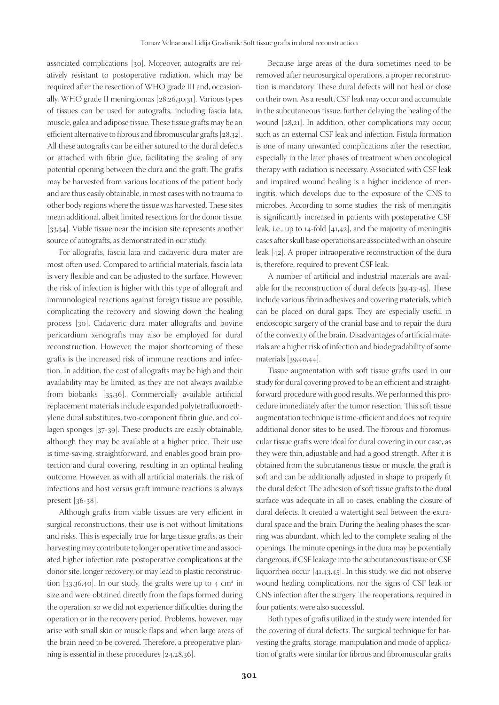associated complications [30]. Moreover, autografts are relatively resistant to postoperative radiation, which may be required after the resection of WHO grade III and, occasionally, WHO grade II meningiomas [28,26,30,31]. Various types of tissues can be used for autografts, including fascia lata, muscle, galea and adipose tissue. These tissue grafts may be an efficient alternative to fibrous and fibromuscular grafts [28,32]. All these autografts can be either sutured to the dural defects or attached with fibrin glue, facilitating the sealing of any potential opening between the dura and the graft. The grafts may be harvested from various locations of the patient body and are thus easily obtainable, in most cases with no trauma to other body regions where the tissue was harvested. These sites mean additional, albeit limited resections for the donor tissue. [33,34]. Viable tissue near the incision site represents another source of autografts, as demonstrated in our study.

For allografts, fascia lata and cadaveric dura mater are most often used. Compared to artificial materials, fascia lata is very flexible and can be adjusted to the surface. However, the risk of infection is higher with this type of allograft and immunological reactions against foreign tissue are possible, complicating the recovery and slowing down the healing process [30]. Cadaveric dura mater allografts and bovine pericardium xenografts may also be employed for dural reconstruction. However, the major shortcoming of these grafts is the increased risk of immune reactions and infection. In addition, the cost of allografts may be high and their availability may be limited, as they are not always available from biobanks [35,36]. Commercially available artificial replacement materials include expanded polytetrafluoroethylene dural substitutes, two-component fibrin glue, and collagen sponges [37-39]. These products are easily obtainable, although they may be available at a higher price. Their use is time-saving, straightforward, and enables good brain protection and dural covering, resulting in an optimal healing outcome. However, as with all artificial materials, the risk of infections and host versus graft immune reactions is always present [36-38].

Although grafts from viable tissues are very efficient in surgical reconstructions, their use is not without limitations and risks. This is especially true for large tissue grafts, as their harvesting may contribute to longer operative time and associated higher infection rate, postoperative complications at the donor site, longer recovery, or may lead to plastic reconstruction  $[33,36,40]$ . In our study, the grafts were up to 4 cm<sup>2</sup> in size and were obtained directly from the flaps formed during the operation, so we did not experience difficulties during the operation or in the recovery period. Problems, however, may arise with small skin or muscle flaps and when large areas of the brain need to be covered. Therefore, a preoperative planning is essential in these procedures [24,28,36].

Because large areas of the dura sometimes need to be removed after neurosurgical operations, a proper reconstruction is mandatory. These dural defects will not heal or close on their own. As a result, CSF leak may occur and accumulate in the subcutaneous tissue, further delaying the healing of the wound [28,21]. In addition, other complications may occur, such as an external CSF leak and infection. Fistula formation is one of many unwanted complications after the resection, especially in the later phases of treatment when oncological therapy with radiation is necessary. Associated with CSF leak and impaired wound healing is a higher incidence of meningitis, which develops due to the exposure of the CNS to microbes. According to some studies, the risk of meningitis is significantly increased in patients with postoperative CSF leak, i.e., up to 14-fold [41,42], and the majority of meningitis cases after skull base operations are associated with an obscure leak [42]. A proper intraoperative reconstruction of the dura is, therefore, required to prevent CSF leak.

A number of artificial and industrial materials are available for the reconstruction of dural defects [39,43-45]. These include various fibrin adhesives and covering materials, which can be placed on dural gaps. They are especially useful in endoscopic surgery of the cranial base and to repair the dura of the convexity of the brain. Disadvantages of artificial materials are a higher risk of infection and biodegradability of some materials [39,40,44].

Tissue augmentation with soft tissue grafts used in our study for dural covering proved to be an efficient and straightforward procedure with good results. We performed this procedure immediately after the tumor resection. This soft tissue augmentation technique is time-efficient and does not require additional donor sites to be used. The fibrous and fibromuscular tissue grafts were ideal for dural covering in our case, as they were thin, adjustable and had a good strength. After it is obtained from the subcutaneous tissue or muscle, the graft is soft and can be additionally adjusted in shape to properly fit the dural defect. The adhesion of soft tissue grafts to the dural surface was adequate in all 10 cases, enabling the closure of dural defects. It created a watertight seal between the extradural space and the brain. During the healing phases the scarring was abundant, which led to the complete sealing of the openings. The minute openings in the dura may be potentially dangerous, if CSF leakage into the subcutaneous tissue or CSF liquorrhea occur [41,43,45]. In this study, we did not observe wound healing complications, nor the signs of CSF leak or CNS infection after the surgery. The reoperations, required in four patients, were also successful.

Both types of grafts utilized in the study were intended for the covering of dural defects. The surgical technique for harvesting the grafts, storage, manipulation and mode of application of grafts were similar for fibrous and fibromuscular grafts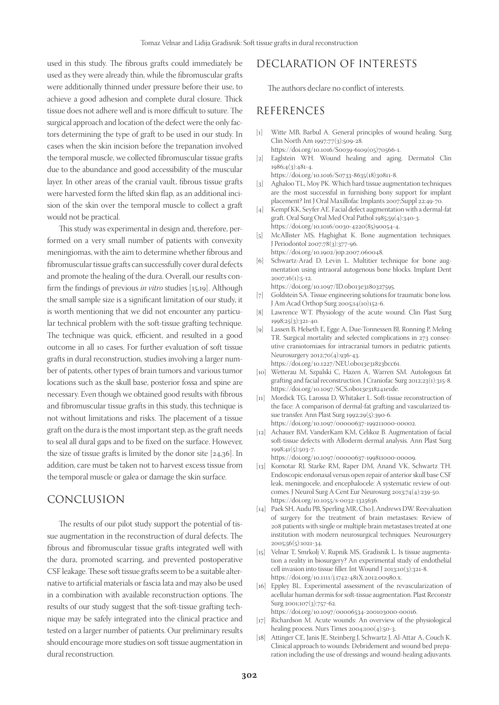used in this study. The fibrous grafts could immediately be used as they were already thin, while the fibromuscular grafts were additionally thinned under pressure before their use, to achieve a good adhesion and complete dural closure. Thick tissue does not adhere well and is more difficult to suture. The surgical approach and location of the defect were the only factors determining the type of graft to be used in our study. In cases when the skin incision before the trepanation involved the temporal muscle, we collected fibromuscular tissue grafts due to the abundance and good accessibility of the muscular layer. In other areas of the cranial vault, fibrous tissue grafts were harvested form the lifted skin flap, as an additional incision of the skin over the temporal muscle to collect a graft would not be practical.

This study was experimental in design and, therefore, performed on a very small number of patients with convexity meningiomas, with the aim to determine whether fibrous and fibromuscular tissue grafts can successfully cover dural defects and promote the healing of the dura. Overall, our results confirm the findings of previous *in vitro* studies [15,19]. Although the small sample size is a significant limitation of our study, it is worth mentioning that we did not encounter any particular technical problem with the soft-tissue grafting technique. The technique was quick, efficient, and resulted in a good outcome in all 10 cases. For further evaluation of soft tissue grafts in dural reconstruction, studies involving a larger number of patents, other types of brain tumors and various tumor locations such as the skull base, posterior fossa and spine are necessary. Even though we obtained good results with fibrous and fibromuscular tissue grafts in this study, this technique is not without limitations and risks. The placement of a tissue graft on the dura is the most important step, as the graft needs to seal all dural gaps and to be fixed on the surface. However, the size of tissue grafts is limited by the donor site [24,36]. In addition, care must be taken not to harvest excess tissue from the temporal muscle or galea or damage the skin surface.

## CONCLUSION

The results of our pilot study support the potential of tissue augmentation in the reconstruction of dural defects. The fibrous and fibromuscular tissue grafts integrated well with the dura, promoted scarring, and prevented postoperative CSF leakage. These soft tissue grafts seem to be a suitable alternative to artificial materials or fascia lata and may also be used in a combination with available reconstruction options. The results of our study suggest that the soft-tissue grafting technique may be safely integrated into the clinical practice and tested on a larger number of patients. Our preliminary results should encourage more studies on soft tissue augmentation in dural reconstruction.

## DECLARATION OF INTERESTS

The authors declare no conflict of interests.

#### REFERENCES

- [1] Witte MB, Barbul A. General principles of wound healing. Surg Clin North Am 1997;77(3):509-28. https://doi.org/10.1016/S0039-6109(05)70566-1.
- [2] Eaglstein WH. Wound healing and aging. Dermatol Clin 1986;4(3):481-4.

https://doi.org/10.1016/S0733-8635(18)30811-8.

- [3] Aghaloo TL, Moy PK. Which hard tissue augmentation techniques are the most successful in furnishing bony support for implant placement? Int J Oral Maxillofac Implants 2007;Suppl 22:49-70.
- [4] Kempf KK, Seyfer AE. Facial defect augmentation with a dermal-fat graft. Oral Surg Oral Med Oral Pathol 1985;59(4):340-3. https://doi.org/10.1016/0030-4220(85)90054-4.
- [5] McAllister MS, Haghighat K. Bone augmentation techniques. J Periodontol 2007;78(3):377-96. https://doi.org/10.1902/jop.2007.060048.
- [6] Schwartz-Arad D, Levin L. Multitier technique for bone augmentation using intraoral autogenous bone blocks. Implant Dent 2007;16(1):5-12.

https://doi.org/10.1097/ID.0b013e3180327595.

- [7] Goldstein SA. Tissue engineering solutions for traumatic bone loss. J Am Acad Orthop Surg 2005;14(10)152-6.
- [8] Lawrence WT. Physiology of the acute wound. Clin Plast Surg 1998;25(3):321-40.
- [9] Lassen B, Helseth E, Egge A, Due-Tonnessen BJ, Ronning P, Meling TR. Surgical mortality and selected complications in 273 consecutive craniotomiaes for intracranial tumors in pediatric patients. Neurosurgery 2012;70(4):936-43. https://doi.org/10.1227/NEU.0b013e31823bcc61.

- [10] Wetterau M, Szpalski C, Hazen A, Warren SM. Autologous fat grafting and facial reconstruction. J Craniofac Surg 2012;23(1):315-8. https://doi.org/10.1097/SCS.0b013e318241e1de.
- [11] Mordick TG, Larossa D, Whitaker L. Soft-tissue reconstruction of the face: A comparison of dermal-fat grafting and vascularized tissue transfer. Ann Plast Surg 1992;29(5):390-6. https://doi.org/10.1097/00000637-199211000-00002.
- [12] Achauer BM, VanderKam KM, Celikoz B. Augmentation of facial soft-tissue defects with Alloderm dermal analysis. Ann Plast Surg 1998;41(5):503-7.

https://doi.org/10.1097/00000637-199811000-00009.

- [13] Komotar RJ, Starke RM, Raper DM, Anand VK, Schwartz TH. Endoscopic endonasal versus open repair of anterior skull base CSF leak, meningocele, and encephalocele: A systematic review of outcomes. J Neurol Surg A Cent Eur Neurosurg 2013;74(4):239-50. https://doi.org/10.1055/s-0032-1325636.
- [14] Paek SH, Audu PB, Sperling MR, Cho J, Andrews DW. Reevaluation of surgery for the treatment of brain metastases: Review of 208 patients with single or multiple brain metastases treated at one institution with modern neurosurgical techniques. Neurosurgery 2005;56(5):1021-34.
- [15] Velnar T, Smrkolj V, Rupnik MS, Gradisnik L. Is tissue augmentation a reality in biosurgery? An experimental study of endothelial cell invasion into tissue filler. Int Wound J 2013;10(3):321-8. https://doi.org/10.1111/j.1742-481X.2012.00980.x.
- [16] Eppley BL. Experimental assessment of the revascularization of acellular human dermis for soft-tissue augmentation. Plast Reconstr Surg 2001;107(3):757-62. https://doi.org/10.1097/00006534-200103000-00016.
- [17] Richardson M. Acute wounds: An overview of the physiological
- healing process. Nurs Times 2004;100(4):50-3. [18] Attinger CE, Janis JE, Steinberg J, Schwartz J, Al-Attar A, Couch K. Clinical approach to wounds: Debridement and wound bed prepa-

ration including the use of dressings and wound-healing adjuvants.